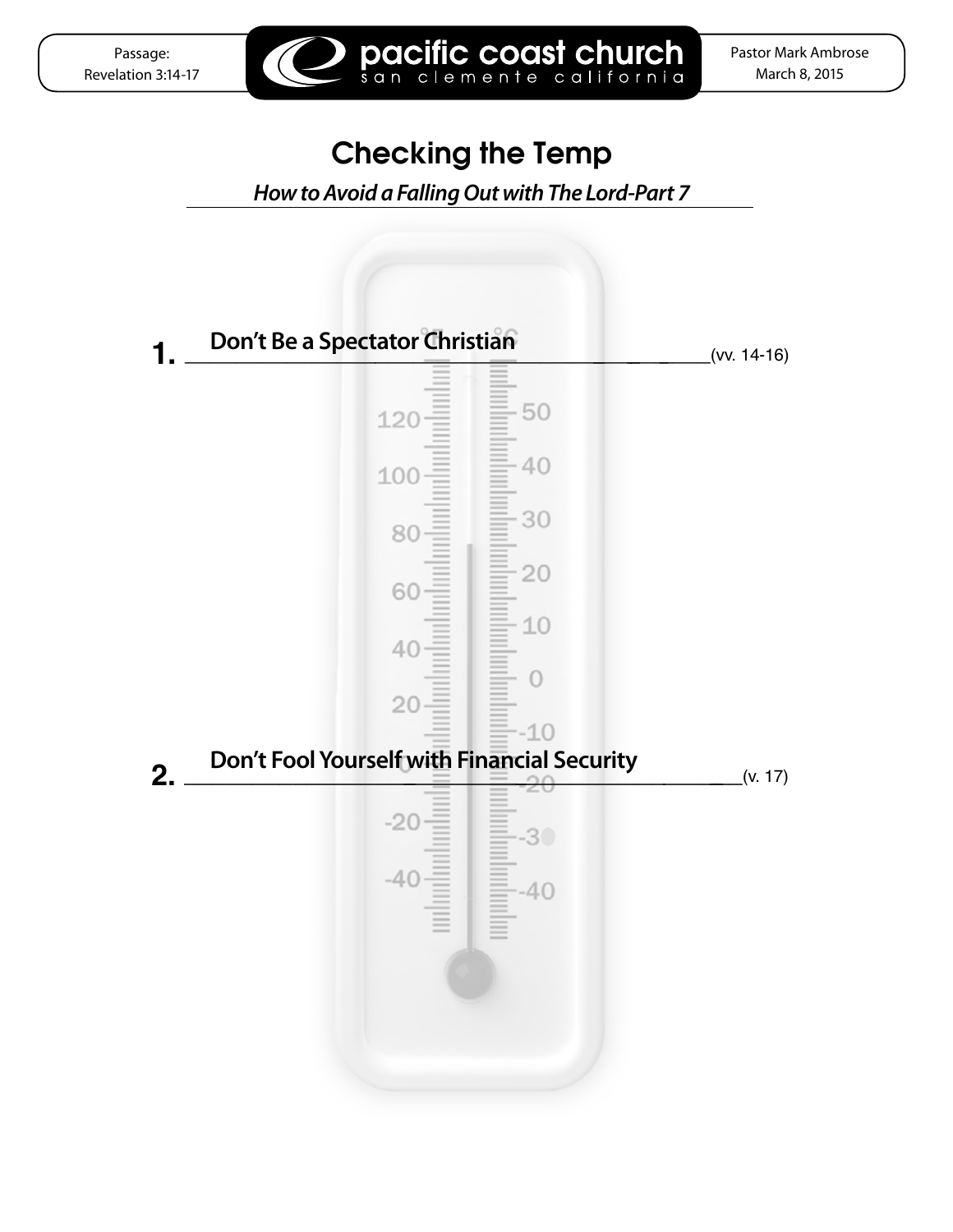

## Checking the Temp

pacific coast church

 *How to Avoid a Falling Out with The Lord-Part 7*